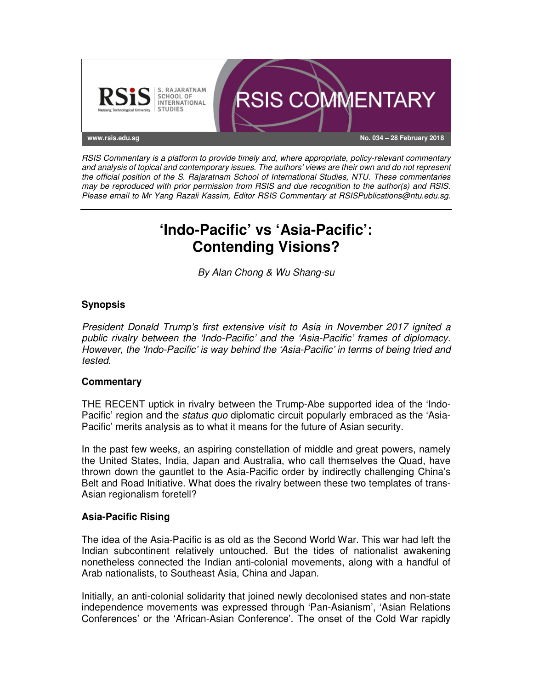

RSIS Commentary is a platform to provide timely and, where appropriate, policy-relevant commentary and analysis of topical and contemporary issues. The authors' views are their own and do not represent the official position of the S. Rajaratnam School of International Studies, NTU. These commentaries may be reproduced with prior permission from RSIS and due recognition to the author(s) and RSIS. Please email to Mr Yang Razali Kassim, Editor RSIS Commentary at RSISPublications@ntu.edu.sg.

# **'Indo-Pacific' vs 'Asia-Pacific': Contending Visions?**

By Alan Chong & Wu Shang-su

## **Synopsis**

President Donald Trump's first extensive visit to Asia in November 2017 ignited a public rivalry between the 'Indo-Pacific' and the 'Asia-Pacific' frames of diplomacy. However, the 'Indo-Pacific' is way behind the 'Asia-Pacific' in terms of being tried and tested.

### **Commentary**

THE RECENT uptick in rivalry between the Trump-Abe supported idea of the 'Indo-Pacific' region and the *status quo* diplomatic circuit popularly embraced as the 'Asia-Pacific' merits analysis as to what it means for the future of Asian security.

In the past few weeks, an aspiring constellation of middle and great powers, namely the United States, India, Japan and Australia, who call themselves the Quad, have thrown down the gauntlet to the Asia-Pacific order by indirectly challenging China's Belt and Road Initiative. What does the rivalry between these two templates of trans-Asian regionalism foretell?

### **Asia-Pacific Rising**

The idea of the Asia-Pacific is as old as the Second World War. This war had left the Indian subcontinent relatively untouched. But the tides of nationalist awakening nonetheless connected the Indian anti-colonial movements, along with a handful of Arab nationalists, to Southeast Asia, China and Japan.

Initially, an anti-colonial solidarity that joined newly decolonised states and non-state independence movements was expressed through 'Pan-Asianism', 'Asian Relations Conferences' or the 'African-Asian Conference'. The onset of the Cold War rapidly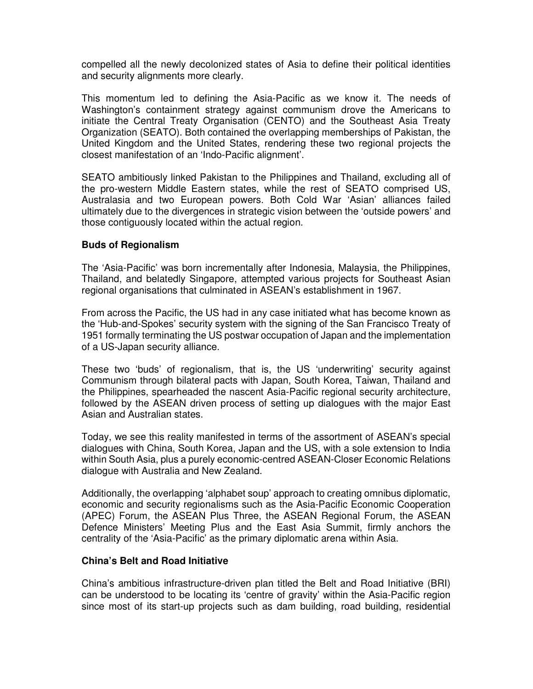compelled all the newly decolonized states of Asia to define their political identities and security alignments more clearly.

This momentum led to defining the Asia-Pacific as we know it. The needs of Washington's containment strategy against communism drove the Americans to initiate the Central Treaty Organisation (CENTO) and the Southeast Asia Treaty Organization (SEATO). Both contained the overlapping memberships of Pakistan, the United Kingdom and the United States, rendering these two regional projects the closest manifestation of an 'Indo-Pacific alignment'.

SEATO ambitiously linked Pakistan to the Philippines and Thailand, excluding all of the pro-western Middle Eastern states, while the rest of SEATO comprised US, Australasia and two European powers. Both Cold War 'Asian' alliances failed ultimately due to the divergences in strategic vision between the 'outside powers' and those contiguously located within the actual region.

### **Buds of Regionalism**

The 'Asia-Pacific' was born incrementally after Indonesia, Malaysia, the Philippines, Thailand, and belatedly Singapore, attempted various projects for Southeast Asian regional organisations that culminated in ASEAN's establishment in 1967.

From across the Pacific, the US had in any case initiated what has become known as the 'Hub-and-Spokes' security system with the signing of the San Francisco Treaty of 1951 formally terminating the US postwar occupation of Japan and the implementation of a US-Japan security alliance.

These two 'buds' of regionalism, that is, the US 'underwriting' security against Communism through bilateral pacts with Japan, South Korea, Taiwan, Thailand and the Philippines, spearheaded the nascent Asia-Pacific regional security architecture, followed by the ASEAN driven process of setting up dialogues with the major East Asian and Australian states.

Today, we see this reality manifested in terms of the assortment of ASEAN's special dialogues with China, South Korea, Japan and the US, with a sole extension to India within South Asia, plus a purely economic-centred ASEAN-Closer Economic Relations dialogue with Australia and New Zealand.

Additionally, the overlapping 'alphabet soup' approach to creating omnibus diplomatic, economic and security regionalisms such as the Asia-Pacific Economic Cooperation (APEC) Forum, the ASEAN Plus Three, the ASEAN Regional Forum, the ASEAN Defence Ministers' Meeting Plus and the East Asia Summit, firmly anchors the centrality of the 'Asia-Pacific' as the primary diplomatic arena within Asia.

#### **China's Belt and Road Initiative**

China's ambitious infrastructure-driven plan titled the Belt and Road Initiative (BRI) can be understood to be locating its 'centre of gravity' within the Asia-Pacific region since most of its start-up projects such as dam building, road building, residential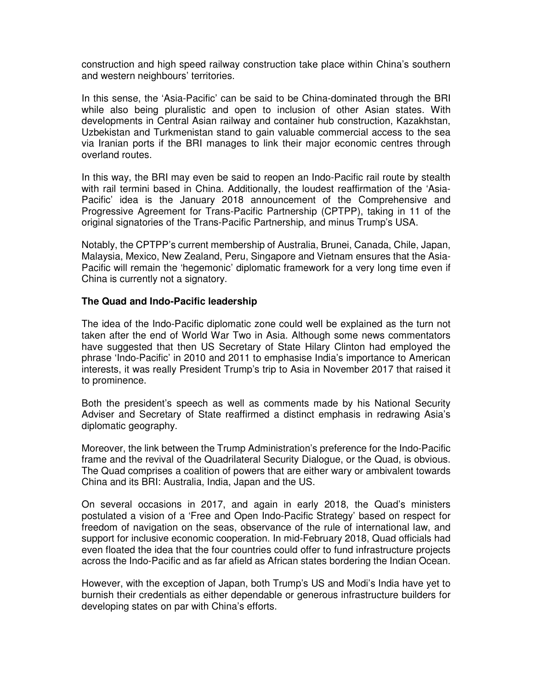construction and high speed railway construction take place within China's southern and western neighbours' territories.

In this sense, the 'Asia-Pacific' can be said to be China-dominated through the BRI while also being pluralistic and open to inclusion of other Asian states. With developments in Central Asian railway and container hub construction, Kazakhstan, Uzbekistan and Turkmenistan stand to gain valuable commercial access to the sea via Iranian ports if the BRI manages to link their major economic centres through overland routes.

In this way, the BRI may even be said to reopen an Indo-Pacific rail route by stealth with rail termini based in China. Additionally, the loudest reaffirmation of the 'Asia-Pacific' idea is the January 2018 announcement of the Comprehensive and Progressive Agreement for Trans-Pacific Partnership (CPTPP), taking in 11 of the original signatories of the Trans-Pacific Partnership, and minus Trump's USA.

Notably, the CPTPP's current membership of Australia, Brunei, Canada, Chile, Japan, Malaysia, Mexico, New Zealand, Peru, Singapore and Vietnam ensures that the Asia-Pacific will remain the 'hegemonic' diplomatic framework for a very long time even if China is currently not a signatory.

#### **The Quad and Indo-Pacific leadership**

The idea of the Indo-Pacific diplomatic zone could well be explained as the turn not taken after the end of World War Two in Asia. Although some news commentators have suggested that then US Secretary of State Hilary Clinton had employed the phrase 'Indo-Pacific' in 2010 and 2011 to emphasise India's importance to American interests, it was really President Trump's trip to Asia in November 2017 that raised it to prominence.

Both the president's speech as well as comments made by his National Security Adviser and Secretary of State reaffirmed a distinct emphasis in redrawing Asia's diplomatic geography.

Moreover, the link between the Trump Administration's preference for the Indo-Pacific frame and the revival of the Quadrilateral Security Dialogue, or the Quad, is obvious. The Quad comprises a coalition of powers that are either wary or ambivalent towards China and its BRI: Australia, India, Japan and the US.

On several occasions in 2017, and again in early 2018, the Quad's ministers postulated a vision of a 'Free and Open Indo-Pacific Strategy' based on respect for freedom of navigation on the seas, observance of the rule of international law, and support for inclusive economic cooperation. In mid-February 2018, Quad officials had even floated the idea that the four countries could offer to fund infrastructure projects across the Indo-Pacific and as far afield as African states bordering the Indian Ocean.

However, with the exception of Japan, both Trump's US and Modi's India have yet to burnish their credentials as either dependable or generous infrastructure builders for developing states on par with China's efforts.